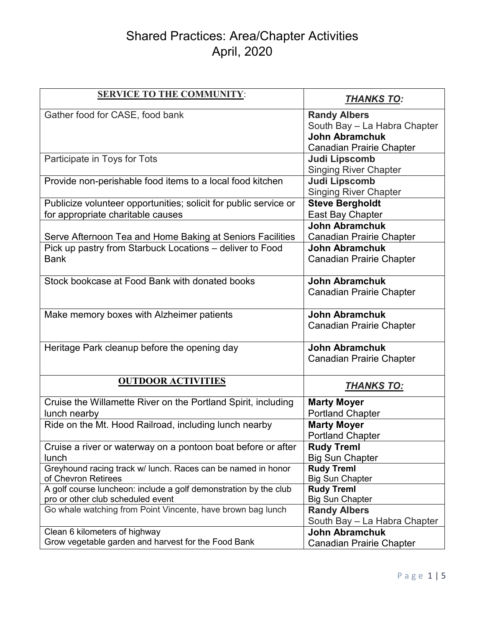# Shared Practices: Area/Chapter Activities April, 2020

| <b>SERVICE TO THE COMMUNITY:</b>                                                                      | <b>THANKS TO:</b>                           |
|-------------------------------------------------------------------------------------------------------|---------------------------------------------|
| Gather food for CASE, food bank                                                                       | <b>Randy Albers</b>                         |
|                                                                                                       | South Bay - La Habra Chapter                |
|                                                                                                       | <b>John Abramchuk</b>                       |
|                                                                                                       | Canadian Prairie Chapter                    |
| Participate in Toys for Tots                                                                          | Judi Lipscomb                               |
|                                                                                                       | <b>Singing River Chapter</b>                |
| Provide non-perishable food items to a local food kitchen                                             | <b>Judi Lipscomb</b>                        |
|                                                                                                       | <b>Singing River Chapter</b>                |
| Publicize volunteer opportunities; solicit for public service or                                      | <b>Steve Bergholdt</b>                      |
| for appropriate charitable causes                                                                     | East Bay Chapter                            |
|                                                                                                       | <b>John Abramchuk</b>                       |
| Serve Afternoon Tea and Home Baking at Seniors Facilities                                             | <b>Canadian Prairie Chapter</b>             |
| Pick up pastry from Starbuck Locations - deliver to Food                                              | <b>John Abramchuk</b>                       |
| <b>Bank</b>                                                                                           | <b>Canadian Prairie Chapter</b>             |
|                                                                                                       |                                             |
| Stock bookcase at Food Bank with donated books                                                        | <b>John Abramchuk</b>                       |
|                                                                                                       | <b>Canadian Prairie Chapter</b>             |
|                                                                                                       |                                             |
| Make memory boxes with Alzheimer patients                                                             | <b>John Abramchuk</b>                       |
|                                                                                                       | <b>Canadian Prairie Chapter</b>             |
|                                                                                                       |                                             |
| Heritage Park cleanup before the opening day                                                          | <b>John Abramchuk</b>                       |
|                                                                                                       | <b>Canadian Prairie Chapter</b>             |
|                                                                                                       |                                             |
| <b>OUTDOOR ACTIVITIES</b>                                                                             | <b>THANKS TO:</b>                           |
|                                                                                                       |                                             |
| Cruise the Willamette River on the Portland Spirit, including                                         | <b>Marty Moyer</b>                          |
| lunch nearby                                                                                          | <b>Portland Chapter</b>                     |
| Ride on the Mt. Hood Railroad, including lunch nearby                                                 | <b>Marty Moyer</b>                          |
|                                                                                                       | <b>Portland Chapter</b>                     |
| Cruise a river or waterway on a pontoon boat before or after                                          | <b>Rudy Treml</b>                           |
| lunch                                                                                                 | <b>Big Sun Chapter</b>                      |
| Greyhound racing track w/ lunch. Races can be named in honor                                          | <b>Rudy Treml</b>                           |
| of Chevron Retirees                                                                                   | <b>Big Sun Chapter</b>                      |
| A golf course luncheon: include a golf demonstration by the club<br>pro or other club scheduled event | <b>Rudy Treml</b><br><b>Big Sun Chapter</b> |
| Go whale watching from Point Vincente, have brown bag lunch                                           | <b>Randy Albers</b>                         |
|                                                                                                       | South Bay - La Habra Chapter                |
| Clean 6 kilometers of highway                                                                         | <b>John Abramchuk</b>                       |
| Grow vegetable garden and harvest for the Food Bank                                                   | <b>Canadian Prairie Chapter</b>             |
|                                                                                                       |                                             |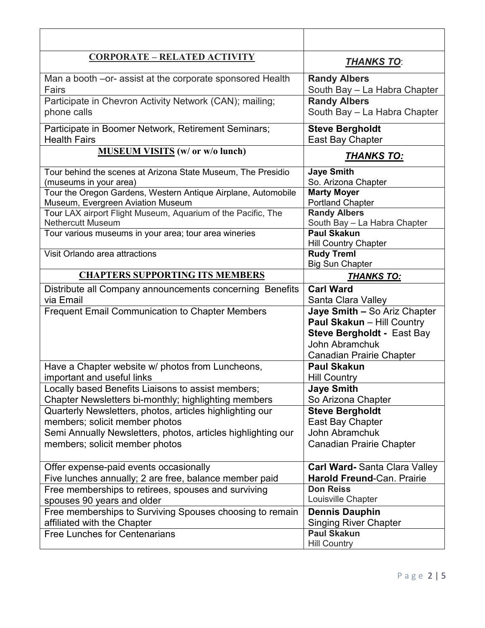| <u>CORPORATE – RELATED ACTIVITY</u>                           | <b>THANKS TO:</b>                                                                                                                                    |
|---------------------------------------------------------------|------------------------------------------------------------------------------------------------------------------------------------------------------|
| Man a booth – or- assist at the corporate sponsored Health    | <b>Randy Albers</b>                                                                                                                                  |
| Fairs                                                         | South Bay - La Habra Chapter                                                                                                                         |
| Participate in Chevron Activity Network (CAN); mailing;       | <b>Randy Albers</b>                                                                                                                                  |
| phone calls                                                   | South Bay - La Habra Chapter                                                                                                                         |
| Participate in Boomer Network, Retirement Seminars;           | <b>Steve Bergholdt</b>                                                                                                                               |
| <b>Health Fairs</b>                                           | East Bay Chapter                                                                                                                                     |
| <b>MUSEUM VISITS</b> (w/ or w/o lunch)                        | <u>THANKS TO:</u>                                                                                                                                    |
| Tour behind the scenes at Arizona State Museum, The Presidio  | <b>Jaye Smith</b>                                                                                                                                    |
| (museums in your area)                                        | So. Arizona Chapter                                                                                                                                  |
| Tour the Oregon Gardens, Western Antique Airplane, Automobile | <b>Marty Moyer</b>                                                                                                                                   |
| Museum, Evergreen Aviation Museum                             | <b>Portland Chapter</b>                                                                                                                              |
| Tour LAX airport Flight Museum, Aquarium of the Pacific, The  | <b>Randy Albers</b>                                                                                                                                  |
| <b>Nethercutt Museum</b>                                      | South Bay - La Habra Chapter                                                                                                                         |
| Tour various museums in your area; tour area wineries         | <b>Paul Skakun</b><br><b>Hill Country Chapter</b>                                                                                                    |
| Visit Orlando area attractions                                | <b>Rudy Treml</b><br><b>Big Sun Chapter</b>                                                                                                          |
| <b>CHAPTERS SUPPORTING ITS MEMBERS</b>                        | <b>THANKS TO:</b>                                                                                                                                    |
| Distribute all Company announcements concerning Benefits      | <b>Carl Ward</b>                                                                                                                                     |
| via Email                                                     | Santa Clara Valley                                                                                                                                   |
| <b>Frequent Email Communication to Chapter Members</b>        | Jaye Smith - So Ariz Chapter<br>Paul Skakun - Hill Country<br><b>Steve Bergholdt - East Bay</b><br>John Abramchuk<br><b>Canadian Prairie Chapter</b> |
| Have a Chapter website w/ photos from Luncheons,              | <b>Paul Skakun</b>                                                                                                                                   |
| important and useful links                                    | <b>Hill Country</b>                                                                                                                                  |
| Locally based Benefits Liaisons to assist members;            | <b>Jaye Smith</b>                                                                                                                                    |
| Chapter Newsletters bi-monthly; highlighting members          | So Arizona Chapter                                                                                                                                   |
| Quarterly Newsletters, photos, articles highlighting our      | <b>Steve Bergholdt</b>                                                                                                                               |
| members; solicit member photos                                | East Bay Chapter                                                                                                                                     |
| Semi Annually Newsletters, photos, articles highlighting our  | John Abramchuk                                                                                                                                       |
| members; solicit member photos                                | <b>Canadian Prairie Chapter</b>                                                                                                                      |
| Offer expense-paid events occasionally                        | <b>Carl Ward-Santa Clara Valley</b>                                                                                                                  |
| Five lunches annually; 2 are free, balance member paid        | <b>Harold Freund-Can. Prairie</b>                                                                                                                    |
| Free memberships to retirees, spouses and surviving           | <b>Don Reiss</b>                                                                                                                                     |
| spouses 90 years and older                                    | Louisville Chapter                                                                                                                                   |
| Free memberships to Surviving Spouses choosing to remain      | <b>Dennis Dauphin</b>                                                                                                                                |
| affiliated with the Chapter                                   | <b>Singing River Chapter</b>                                                                                                                         |
| <b>Free Lunches for Centenarians</b>                          | <b>Paul Skakun</b><br><b>Hill Country</b>                                                                                                            |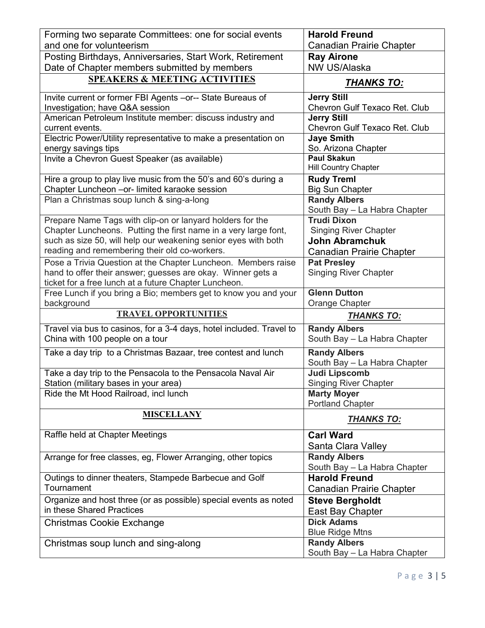| Forming two separate Committees: one for social events                                                                            | <b>Harold Freund</b>                                  |
|-----------------------------------------------------------------------------------------------------------------------------------|-------------------------------------------------------|
| and one for volunteerism                                                                                                          | <b>Canadian Prairie Chapter</b>                       |
| Posting Birthdays, Anniversaries, Start Work, Retirement                                                                          | <b>Ray Airone</b>                                     |
| Date of Chapter members submitted by members                                                                                      | NW US/Alaska                                          |
| <b>SPEAKERS &amp; MEETING ACTIVITIES</b>                                                                                          | <b>THANKS TO:</b>                                     |
| Invite current or former FBI Agents - or-- State Bureaus of                                                                       | <b>Jerry Still</b>                                    |
| Investigation; have Q&A session                                                                                                   | Chevron Gulf Texaco Ret. Club                         |
| American Petroleum Institute member: discuss industry and<br>current events.                                                      | <b>Jerry Still</b><br>Chevron Gulf Texaco Ret. Club   |
| Electric Power/Utility representative to make a presentation on                                                                   | <b>Jaye Smith</b>                                     |
| energy savings tips                                                                                                               | So. Arizona Chapter                                   |
| Invite a Chevron Guest Speaker (as available)                                                                                     | <b>Paul Skakun</b>                                    |
|                                                                                                                                   | <b>Hill Country Chapter</b>                           |
| Hire a group to play live music from the 50's and 60's during a                                                                   | <b>Rudy Treml</b>                                     |
| Chapter Luncheon - or- limited karaoke session                                                                                    | <b>Big Sun Chapter</b>                                |
| Plan a Christmas soup lunch & sing-a-long                                                                                         | <b>Randy Albers</b>                                   |
|                                                                                                                                   | South Bay - La Habra Chapter                          |
| Prepare Name Tags with clip-on or lanyard holders for the                                                                         | <b>Trudi Dixon</b>                                    |
| Chapter Luncheons. Putting the first name in a very large font,<br>such as size 50, will help our weakening senior eyes with both | <b>Singing River Chapter</b><br><b>John Abramchuk</b> |
| reading and remembering their old co-workers.                                                                                     |                                                       |
| Pose a Trivia Question at the Chapter Luncheon. Members raise                                                                     | <b>Canadian Prairie Chapter</b><br><b>Pat Presley</b> |
| hand to offer their answer; guesses are okay. Winner gets a                                                                       | <b>Singing River Chapter</b>                          |
| ticket for a free lunch at a future Chapter Luncheon.                                                                             |                                                       |
| Free Lunch if you bring a Bio; members get to know you and your                                                                   | <b>Glenn Dutton</b>                                   |
| background                                                                                                                        | Orange Chapter                                        |
| <b>TRAVEL OPPORTUNITIES</b>                                                                                                       | <b>THANKS TO:</b>                                     |
| Travel via bus to casinos, for a 3-4 days, hotel included. Travel to                                                              | <b>Randy Albers</b>                                   |
| China with 100 people on a tour                                                                                                   | South Bay - La Habra Chapter                          |
| Take a day trip to a Christmas Bazaar, tree contest and lunch                                                                     | <b>Randy Albers</b>                                   |
|                                                                                                                                   | South Bay - La Habra Chapter                          |
| Take a day trip to the Pensacola to the Pensacola Naval Air                                                                       | Judi Lipscomb                                         |
| Station (military bases in your area)<br>Ride the Mt Hood Railroad, incl lunch                                                    | <b>Singing River Chapter</b><br><b>Marty Moyer</b>    |
|                                                                                                                                   | <b>Portland Chapter</b>                               |
| <b>MISCELLANY</b>                                                                                                                 | <u>THANKS TO:</u>                                     |
|                                                                                                                                   |                                                       |
| Raffle held at Chapter Meetings                                                                                                   | <b>Carl Ward</b>                                      |
|                                                                                                                                   | Santa Clara Valley<br><b>Randy Albers</b>             |
| Arrange for free classes, eg, Flower Arranging, other topics                                                                      | South Bay - La Habra Chapter                          |
| Outings to dinner theaters, Stampede Barbecue and Golf                                                                            | <b>Harold Freund</b>                                  |
| Tournament                                                                                                                        | <b>Canadian Prairie Chapter</b>                       |
| Organize and host three (or as possible) special events as noted                                                                  | <b>Steve Bergholdt</b>                                |
| in these Shared Practices                                                                                                         | East Bay Chapter                                      |
| Christmas Cookie Exchange                                                                                                         | <b>Dick Adams</b>                                     |
|                                                                                                                                   | <b>Blue Ridge Mtns</b>                                |
|                                                                                                                                   |                                                       |
| Christmas soup lunch and sing-along                                                                                               | <b>Randy Albers</b><br>South Bay - La Habra Chapter   |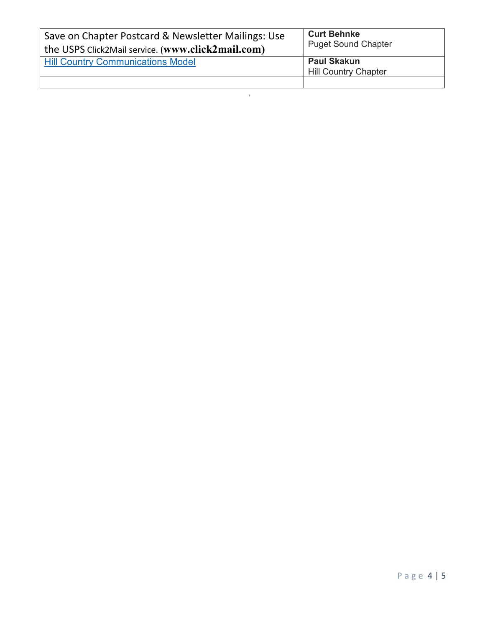| Save on Chapter Postcard & Newsletter Mailings: Use<br>the USPS Click2Mail service. (www.click2mail.com) | <b>Curt Behnke</b><br><b>Puget Sound Chapter</b>  |
|----------------------------------------------------------------------------------------------------------|---------------------------------------------------|
| <b>Hill Country Communications Model</b>                                                                 | <b>Paul Skakun</b><br><b>Hill Country Chapter</b> |
|                                                                                                          |                                                   |

.